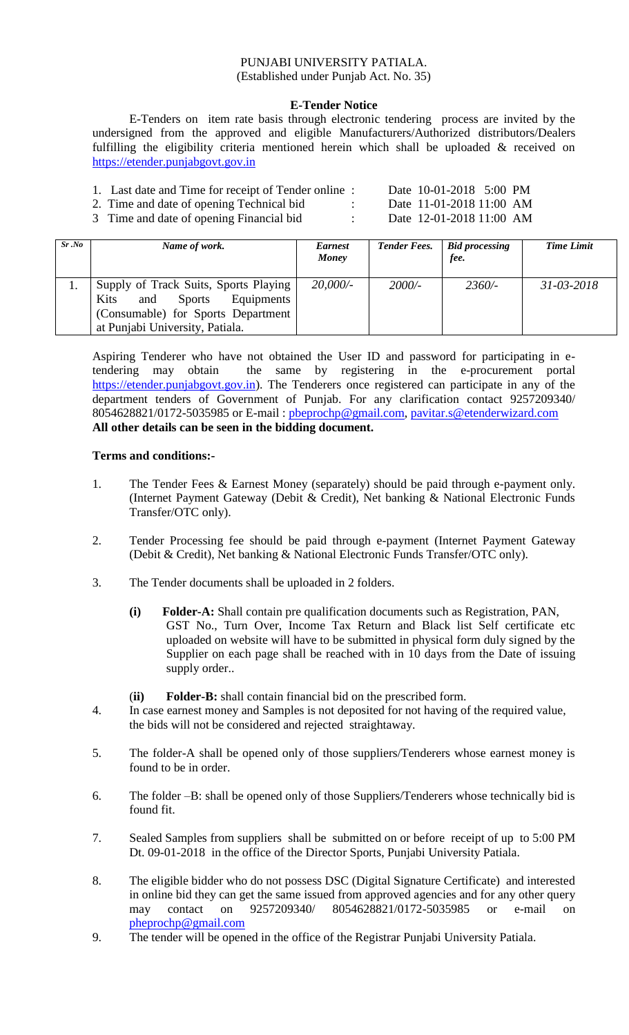## PUNJABI UNIVERSITY PATIALA. (Established under Punjab Act. No. 35)

#### **E-Tender Notice**

E-Tenders on item rate basis through electronic tendering process are invited by the undersigned from the approved and eligible Manufacturers/Authorized distributors/Dealers fulfilling the eligibility criteria mentioned herein which shall be uploaded & received on [https://etender.punjabgovt.gov.in](https://etender.punjabgovt.gov.in/)

- 1. Last date and Time for receipt of Tender online : Date 10-01-2018 5:00 PM
- 2. Time and date of opening Technical bid : Date 11-01-2018 11:00 AM
- 3 Time and date of opening Financial bid : Date 12-01-2018 11:00 AM

| $Sr$ .No | Name of work.                                                                                                                                                | <b>Earnest</b><br>Money | <b>Tender Fees.</b> | <b>Bid processing</b><br>fee. | <b>Time Limit</b> |
|----------|--------------------------------------------------------------------------------------------------------------------------------------------------------------|-------------------------|---------------------|-------------------------------|-------------------|
|          | Supply of Track Suits, Sports Playing<br>Kits<br><b>Sports</b><br>Equipments<br>and<br>(Consumable) for Sports Department<br>at Punjabi University, Patiala. | 20,000/                 | $2000/-$            | $2360/-$                      | $31 - 03 - 2018$  |

Aspiring Tenderer who have not obtained the User ID and password for participating in etendering may obtain the same by registering in the e-procurement portal [https://etender.punjabgovt.gov.in\)](https://etender.punjabgovt.gov.in/). The Tenderers once registered can participate in any of the department tenders of Government of Punjab. For any clarification contact 9257209340/ 8054628821/0172-5035985 or E-mail: [pbeprochp@gmail.com,](mailto:pbeprochp@gmail.com) [pavitar.s@etenderwizard.com](mailto:pavitar.s@etenderwizard.com) **All other details can be seen in the bidding document.**

#### **Terms and conditions:-**

- 1. The Tender Fees & Earnest Money (separately) should be paid through e-payment only. (Internet Payment Gateway (Debit & Credit), Net banking & National Electronic Funds Transfer/OTC only).
- 2. Tender Processing fee should be paid through e-payment (Internet Payment Gateway (Debit & Credit), Net banking & National Electronic Funds Transfer/OTC only).
- 3. The Tender documents shall be uploaded in 2 folders.
	- **(i) Folder-A:** Shall contain pre qualification documents such as Registration, PAN, GST No., Turn Over, Income Tax Return and Black list Self certificate etc uploaded on website will have to be submitted in physical form duly signed by the Supplier on each page shall be reached with in 10 days from the Date of issuing supply order..

(**ii) Folder-B:** shall contain financial bid on the prescribed form.

- 4. In case earnest money and Samples is not deposited for not having of the required value, the bids will not be considered and rejected straightaway.
- 5. The folder-A shall be opened only of those suppliers/Tenderers whose earnest money is found to be in order.
- 6. The folder –B: shall be opened only of those Suppliers/Tenderers whose technically bid is found fit.
- 7. Sealed Samples from suppliers shall be submitted on or before receipt of up to 5:00 PM Dt. 09-01-2018 in the office of the Director Sports, Punjabi University Patiala.
- 8. The eligible bidder who do not possess DSC (Digital Signature Certificate) and interested in online bid they can get the same issued from approved agencies and for any other query may contact on 9257209340/ 8054628821/0172-5035985 or e-mail on [pheprochp@gmail.com](mailto:pheprochp@gmail.com)
- 9. The tender will be opened in the office of the Registrar Punjabi University Patiala.